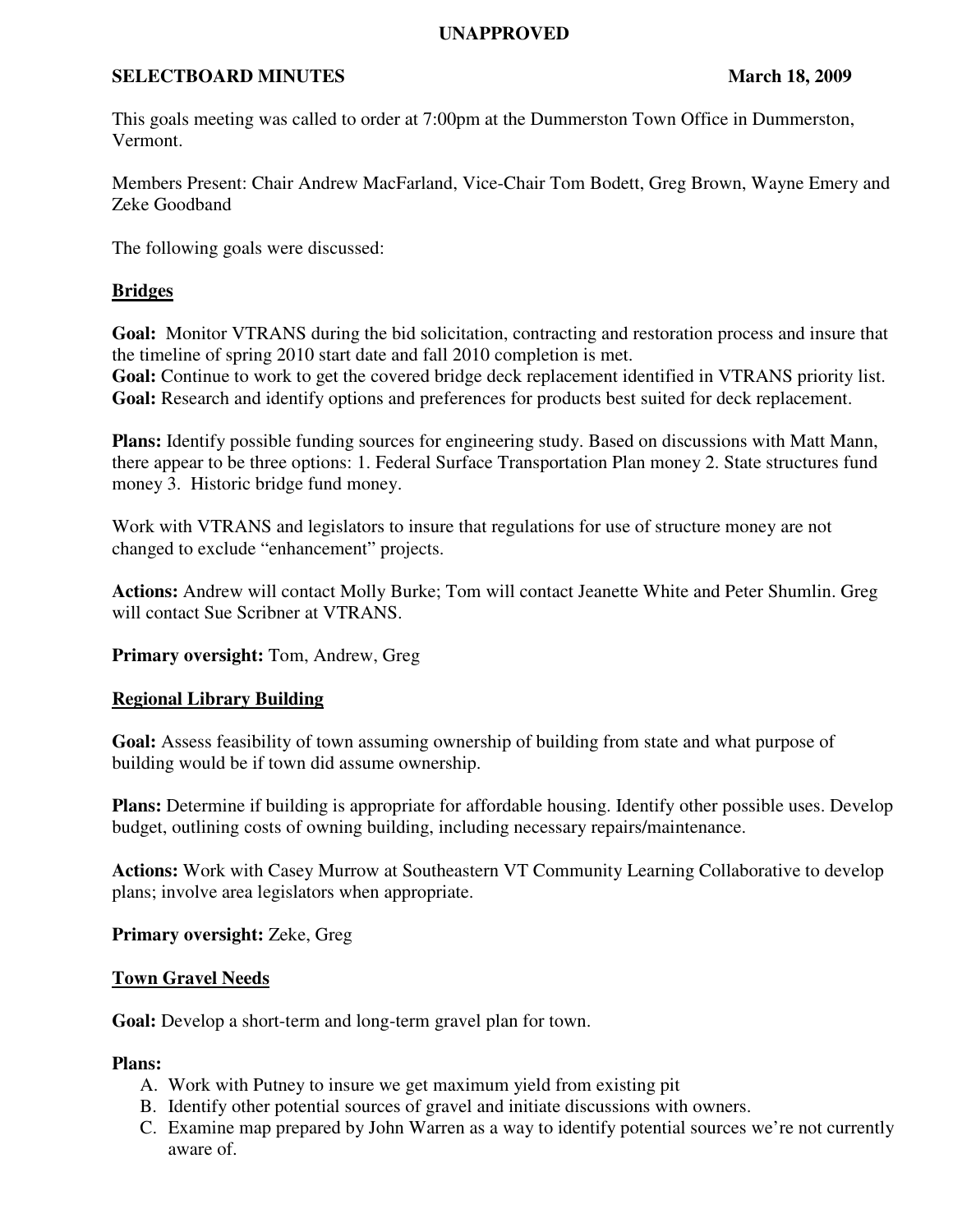## **UNAPPROVED**

## **SELECTBOARD MINUTES** March 18, 2009

This goals meeting was called to order at 7:00pm at the Dummerston Town Office in Dummerston, Vermont.

Members Present: Chair Andrew MacFarland, Vice-Chair Tom Bodett, Greg Brown, Wayne Emery and Zeke Goodband

The following goals were discussed:

## **Bridges**

**Goal:** Monitor VTRANS during the bid solicitation, contracting and restoration process and insure that the timeline of spring 2010 start date and fall 2010 completion is met. **Goal:** Continue to work to get the covered bridge deck replacement identified in VTRANS priority list. **Goal:** Research and identify options and preferences for products best suited for deck replacement.

**Plans:** Identify possible funding sources for engineering study. Based on discussions with Matt Mann, there appear to be three options: 1. Federal Surface Transportation Plan money 2. State structures fund money 3. Historic bridge fund money.

Work with VTRANS and legislators to insure that regulations for use of structure money are not changed to exclude "enhancement" projects.

**Actions:** Andrew will contact Molly Burke; Tom will contact Jeanette White and Peter Shumlin. Greg will contact Sue Scribner at VTRANS.

**Primary oversight:** Tom, Andrew, Greg

# **Regional Library Building**

**Goal:** Assess feasibility of town assuming ownership of building from state and what purpose of building would be if town did assume ownership.

**Plans:** Determine if building is appropriate for affordable housing. Identify other possible uses. Develop budget, outlining costs of owning building, including necessary repairs/maintenance.

**Actions:** Work with Casey Murrow at Southeastern VT Community Learning Collaborative to develop plans; involve area legislators when appropriate.

**Primary oversight:** Zeke, Greg

## **Town Gravel Needs**

**Goal:** Develop a short-term and long-term gravel plan for town.

## **Plans:**

- A. Work with Putney to insure we get maximum yield from existing pit
- B. Identify other potential sources of gravel and initiate discussions with owners.
- C. Examine map prepared by John Warren as a way to identify potential sources we're not currently aware of.